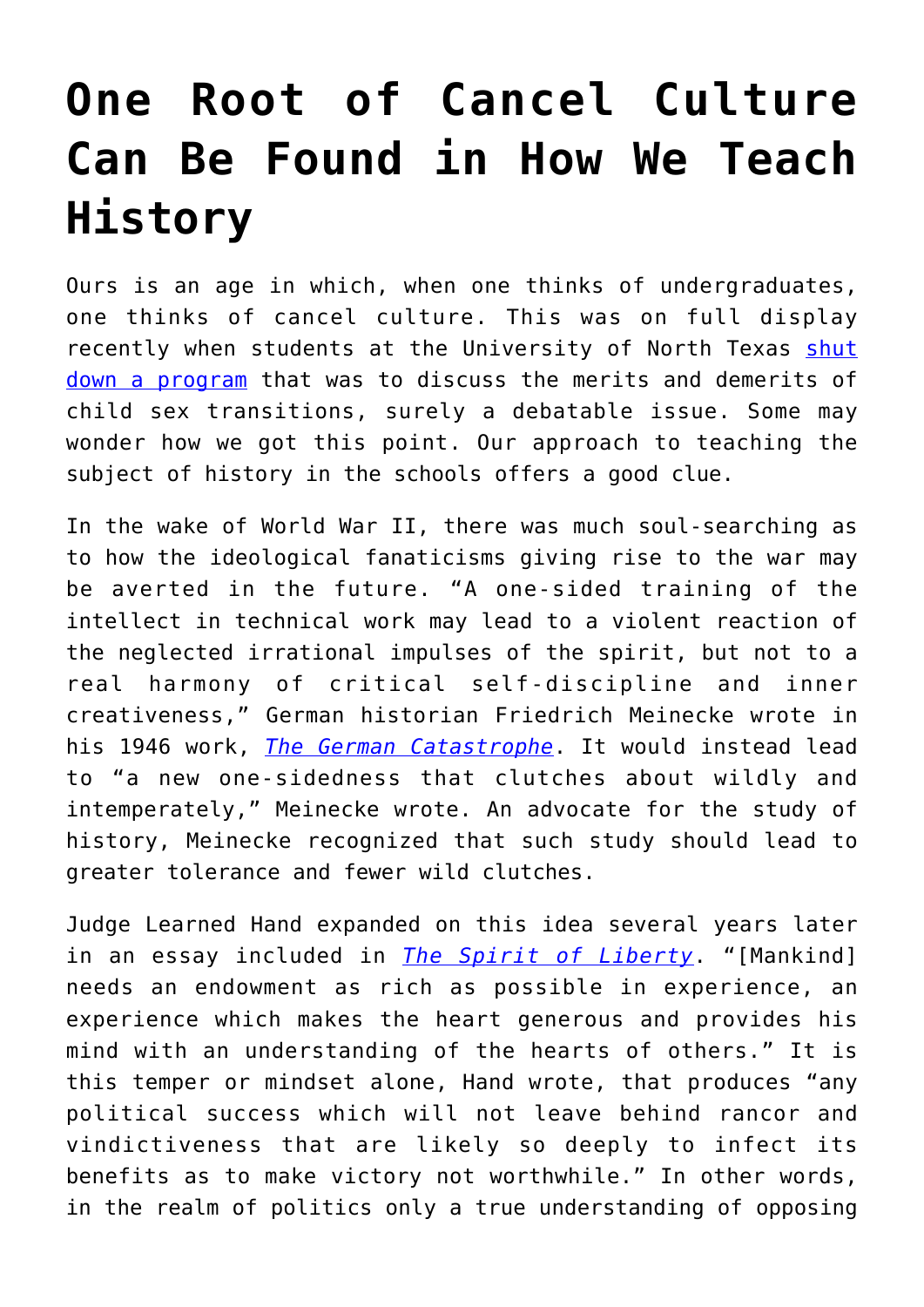## **[One Root of Cancel Culture](https://intellectualtakeout.org/2022/03/one-root-of-cancel-culture-can-be-found-in-how-we-teach-history/) [Can Be Found in How We Teach](https://intellectualtakeout.org/2022/03/one-root-of-cancel-culture-can-be-found-in-how-we-teach-history/) [History](https://intellectualtakeout.org/2022/03/one-root-of-cancel-culture-can-be-found-in-how-we-teach-history/)**

Ours is an age in which, when one thinks of undergraduates, one thinks of cancel culture. This was on full display recently when students at the University of North Texas [shut](https://www.thecollegefix.com/watch-aggressive-activists-shut-down-campus-event-critical-of-child-gender-transitions/) [down a program](https://www.thecollegefix.com/watch-aggressive-activists-shut-down-campus-event-critical-of-child-gender-transitions/) that was to discuss the merits and demerits of child sex transitions, surely a debatable issue. Some may wonder how we got this point. Our approach to teaching the subject of history in the schools offers a good clue.

In the wake of World War II, there was much soul-searching as to how the ideological fanaticisms giving rise to the war may be averted in the future. "A one-sided training of the intellect in technical work may lead to a violent reaction of the neglected irrational impulses of the spirit, but not to a real harmony of critical self-discipline and inner creativeness," German historian Friedrich Meinecke wrote in his 1946 work, *[The German Catastrophe](https://www.amazon.com/German-Catastrophe-Friedrich-Meinecke/dp/B000NWQLLM)*. It would instead lead to "a new one-sidedness that clutches about wildly and intemperately," Meinecke wrote. An advocate for the study of history, Meinecke recognized that such study should lead to greater tolerance and fewer wild clutches.

Judge Learned Hand expanded on this idea several years later in an essay included in *[The Spirit of Liberty](https://books.google.com/books/about/The_Spirit_of_Liberty.html?id=7ud9tQAACAAJ&source=kp_book_description)*. "[Mankind] needs an endowment as rich as possible in experience, an experience which makes the heart generous and provides his mind with an understanding of the hearts of others." It is this temper or mindset alone, Hand wrote, that produces "any political success which will not leave behind rancor and vindictiveness that are likely so deeply to infect its benefits as to make victory not worthwhile." In other words, in the realm of politics only a true understanding of opposing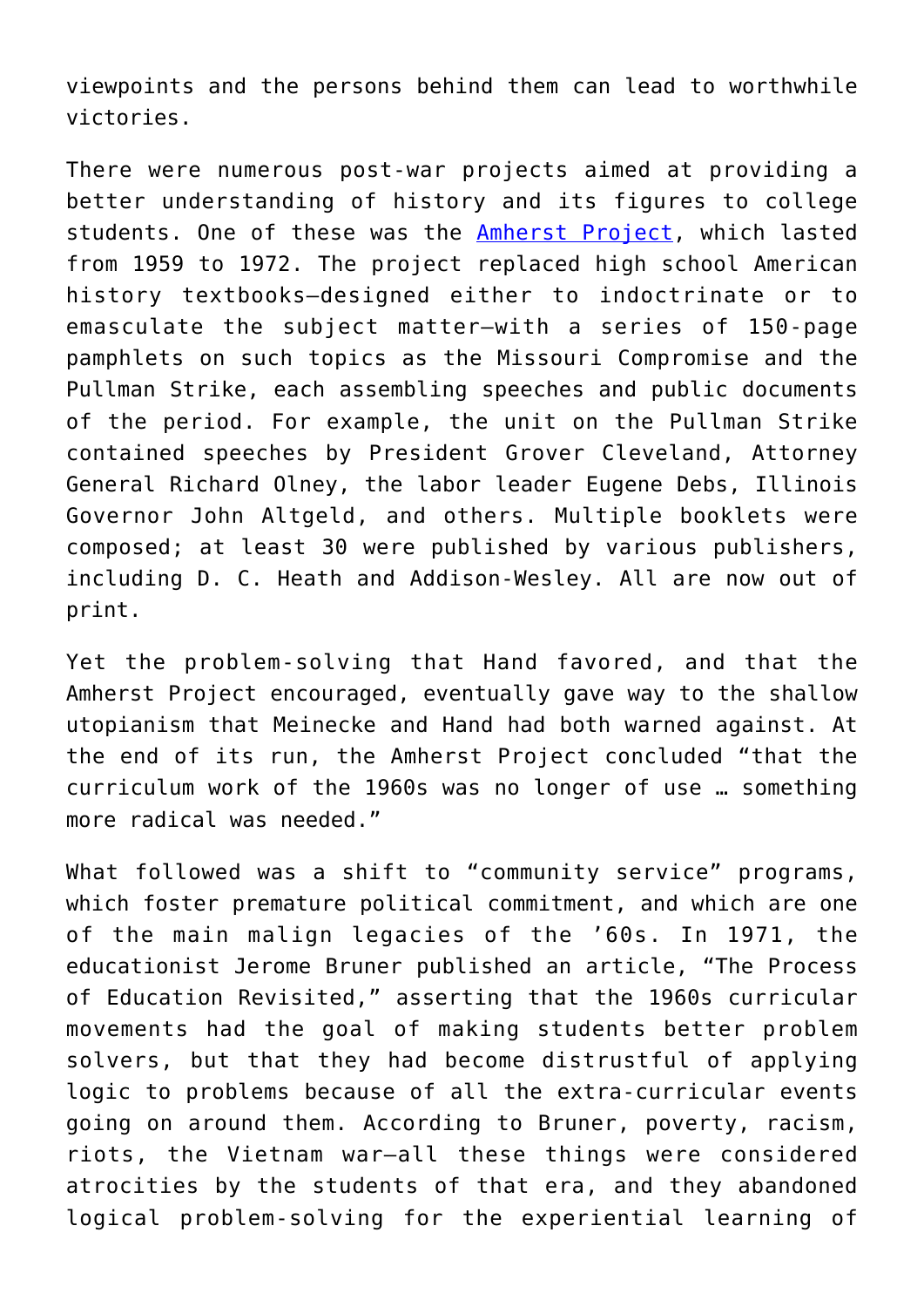viewpoints and the persons behind them can lead to worthwhile victories.

There were numerous post-war projects aimed at providing a better understanding of history and its figures to college students. One of these was the [Amherst Project,](https://ecommons.luc.edu/cgi/viewcontent.cgi?article=2516&context=luc_diss) which lasted from 1959 to 1972. The project replaced high school American history textbooks—designed either to indoctrinate or to emasculate the subject matter—with a series of 150-page pamphlets on such topics as the Missouri Compromise and the Pullman Strike, each assembling speeches and public documents of the period. For example, the unit on the Pullman Strike contained speeches by President Grover Cleveland, Attorney General Richard Olney, the labor leader Eugene Debs, Illinois Governor John Altgeld, and others. Multiple booklets were composed; at least 30 were published by various publishers, including D. C. Heath and Addison-Wesley. All are now out of print.

Yet the problem-solving that Hand favored, and that the Amherst Project encouraged, eventually gave way to the shallow utopianism that Meinecke and Hand had both warned against. At the end of its run, the Amherst Project concluded "that the curriculum work of the 1960s was no longer of use … something more radical was needed."

What followed was a shift to "community service" programs, which foster premature political commitment, and which are one of the main malign legacies of the '60s. In 1971, the educationist Jerome Bruner published an article, "The Process of Education Revisited," asserting that the 1960s curricular movements had the goal of making students better problem solvers, but that they had become distrustful of applying logic to problems because of all the extra-curricular events going on around them. According to Bruner, poverty, racism, riots, the Vietnam war—all these things were considered atrocities by the students of that era, and they abandoned logical problem-solving for the experiential learning of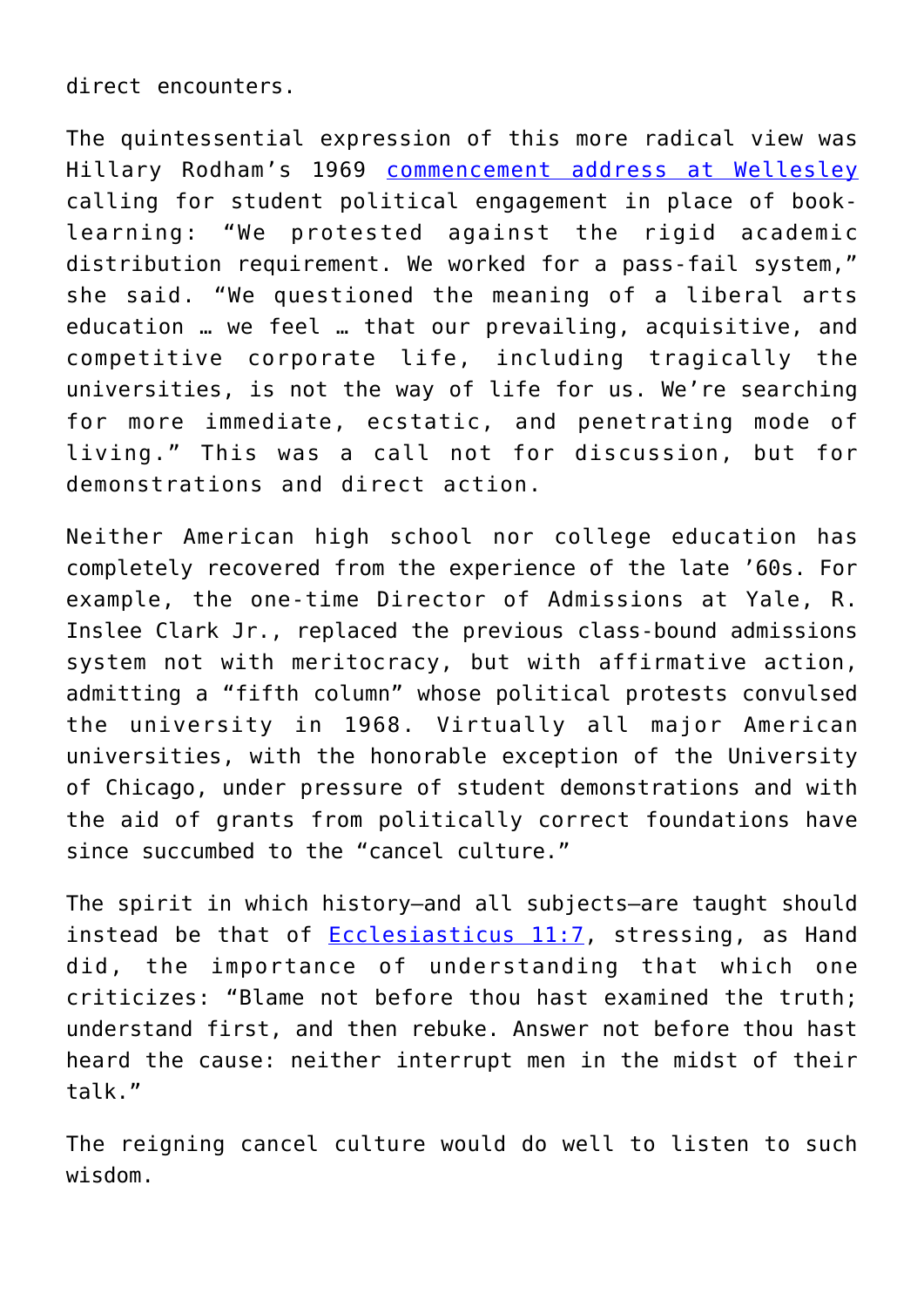direct encounters.

The quintessential expression of this more radical view was Hillary Rodham's 1969 [commencement address at Wellesley](https://www.cbsnews.com/news/hillary-rodhams-1969-commencement-address/) calling for student political engagement in place of booklearning: "We protested against the rigid academic distribution requirement. We worked for a pass-fail system," she said. "We questioned the meaning of a liberal arts education … we feel … that our prevailing, acquisitive, and competitive corporate life, including tragically the universities, is not the way of life for us. We're searching for more immediate, ecstatic, and penetrating mode of living." This was a call not for discussion, but for demonstrations and direct action.

Neither American high school nor college education has completely recovered from the experience of the late '60s. For example, the one-time Director of Admissions at Yale, R. Inslee Clark Jr., replaced the previous class-bound admissions system not with meritocracy, but with affirmative action, admitting a "fifth column" whose political protests convulsed the university in 1968. Virtually all major American universities, with the honorable exception of the University of Chicago, under pressure of student demonstrations and with the aid of grants from politically correct foundations have since succumbed to the "cancel culture."

The spirit in which history—and all subjects—are taught should instead be that of [Ecclesiasticus 11:7,](https://www.kingjamesbibleonline.org/Ecclesiasticus-11-7/) stressing, as Hand did, the importance of understanding that which one criticizes: "Blame not before thou hast examined the truth; understand first, and then rebuke. Answer not before thou hast heard the cause: neither interrupt men in the midst of their talk."

The reigning cancel culture would do well to listen to such wisdom.